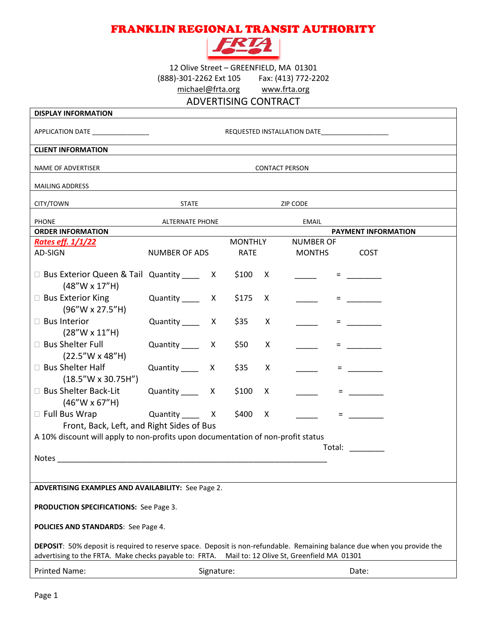## FRANKLIN REGIONAL TRANSIT AUTHORITY



12 Olive Street – GREENFIELD, MA 01301 (888)-301-2262 Ext 105 Fax: (413) 772-2202 [michael@frta.org](mailto:michael@frta.org) [www.frta.org](http://www.frta.org/)

ADVERTISING CONTRACT

| <b>DISPLAY INFORMATION</b>                                                                                                                                                                                                      |                                                  |                |             |              |                  |  |                                                                                                                                                                                                                                |  |
|---------------------------------------------------------------------------------------------------------------------------------------------------------------------------------------------------------------------------------|--------------------------------------------------|----------------|-------------|--------------|------------------|--|--------------------------------------------------------------------------------------------------------------------------------------------------------------------------------------------------------------------------------|--|
| APPLICATION DATE ________________                                                                                                                                                                                               | REQUESTED INSTALLATION DATE_____________________ |                |             |              |                  |  |                                                                                                                                                                                                                                |  |
| <b>CLIENT INFORMATION</b>                                                                                                                                                                                                       |                                                  |                |             |              |                  |  |                                                                                                                                                                                                                                |  |
| NAME OF ADVERTISER                                                                                                                                                                                                              | <b>CONTACT PERSON</b>                            |                |             |              |                  |  |                                                                                                                                                                                                                                |  |
| <b>MAILING ADDRESS</b>                                                                                                                                                                                                          |                                                  |                |             |              |                  |  |                                                                                                                                                                                                                                |  |
| CITY/TOWN                                                                                                                                                                                                                       | <b>STATE</b>                                     |                |             |              | <b>ZIP CODE</b>  |  |                                                                                                                                                                                                                                |  |
| <b>PHONE</b>                                                                                                                                                                                                                    | <b>ALTERNATE PHONE</b>                           |                |             |              | <b>EMAIL</b>     |  |                                                                                                                                                                                                                                |  |
| <b>ORDER INFORMATION</b>                                                                                                                                                                                                        |                                                  |                |             |              |                  |  | <b>PAYMENT INFORMATION</b>                                                                                                                                                                                                     |  |
| <u>Rates eff. 1/1/22</u>                                                                                                                                                                                                        |                                                  | <b>MONTHLY</b> |             |              | <b>NUMBER OF</b> |  |                                                                                                                                                                                                                                |  |
| AD-SIGN                                                                                                                                                                                                                         | <b>NUMBER OF ADS</b>                             |                | <b>RATE</b> |              | <b>MONTHS</b>    |  | <b>COST</b>                                                                                                                                                                                                                    |  |
| □ Bus Exterior Queen & Tail Quantity _____ X \$100<br>$(48''W \times 17''H)$                                                                                                                                                    |                                                  |                |             | X            |                  |  | $\blacksquare$ . The set of $\blacksquare$                                                                                                                                                                                     |  |
| $\Box$ Bus Exterior King<br>(96"W x 27.5"H)                                                                                                                                                                                     | Quantity $\frac{\ }{\ }$ X                       |                | \$175       | X            |                  |  |                                                                                                                                                                                                                                |  |
| □ Bus Interior<br>$(28''W \times 11''H)$                                                                                                                                                                                        | Quantity _______ X                               |                | \$35        | X            |                  |  |                                                                                                                                                                                                                                |  |
| □ Bus Shelter Full<br>$(22.5''W \times 48''H)$                                                                                                                                                                                  | Quantity X                                       |                | \$50        | X            |                  |  |                                                                                                                                                                                                                                |  |
| □ Bus Shelter Half<br>$(18.5''W \times 30.75H'')$                                                                                                                                                                               | Quantity _______ X                               |                | \$35        | X            |                  |  | <b>E</b> and the state                                                                                                                                                                                                         |  |
| □ Bus Shelter Back-Lit<br>$(46''W \times 67''H)$                                                                                                                                                                                | Quantity X                                       |                | \$100       | X            |                  |  | <b>E</b> and the state                                                                                                                                                                                                         |  |
| □ Full Bus Wrap                                                                                                                                                                                                                 | Quantity X                                       |                | \$400       | $\mathsf{X}$ |                  |  | $\equiv$ 100 minutes of $\sim$                                                                                                                                                                                                 |  |
| Front, Back, Left, and Right Sides of Bus                                                                                                                                                                                       |                                                  |                |             |              |                  |  |                                                                                                                                                                                                                                |  |
| A 10% discount will apply to non-profits upon documentation of non-profit status                                                                                                                                                |                                                  |                |             |              |                  |  |                                                                                                                                                                                                                                |  |
|                                                                                                                                                                                                                                 |                                                  |                |             |              |                  |  | Total: The Total School School School School School School School School School School School School School School School School School School School School School School School School School School School School School Sc |  |
| Notes                                                                                                                                                                                                                           |                                                  |                |             |              |                  |  |                                                                                                                                                                                                                                |  |
|                                                                                                                                                                                                                                 |                                                  |                |             |              |                  |  |                                                                                                                                                                                                                                |  |
| <b>ADVERTISING EXAMPLES AND AVAILABILITY: See Page 2.</b>                                                                                                                                                                       |                                                  |                |             |              |                  |  |                                                                                                                                                                                                                                |  |
| <b>PRODUCTION SPECIFICATIONS: See Page 3.</b>                                                                                                                                                                                   |                                                  |                |             |              |                  |  |                                                                                                                                                                                                                                |  |
| POLICIES AND STANDARDS: See Page 4.                                                                                                                                                                                             |                                                  |                |             |              |                  |  |                                                                                                                                                                                                                                |  |
| DEPOSIT: 50% deposit is required to reserve space. Deposit is non-refundable. Remaining balance due when you provide the<br>advertising to the FRTA. Make checks payable to: FRTA.<br>Mail to: 12 Olive St, Greenfield MA 01301 |                                                  |                |             |              |                  |  |                                                                                                                                                                                                                                |  |
|                                                                                                                                                                                                                                 |                                                  |                |             |              |                  |  |                                                                                                                                                                                                                                |  |
| <b>Printed Name:</b>                                                                                                                                                                                                            |                                                  | Signature:     |             |              |                  |  | Date:                                                                                                                                                                                                                          |  |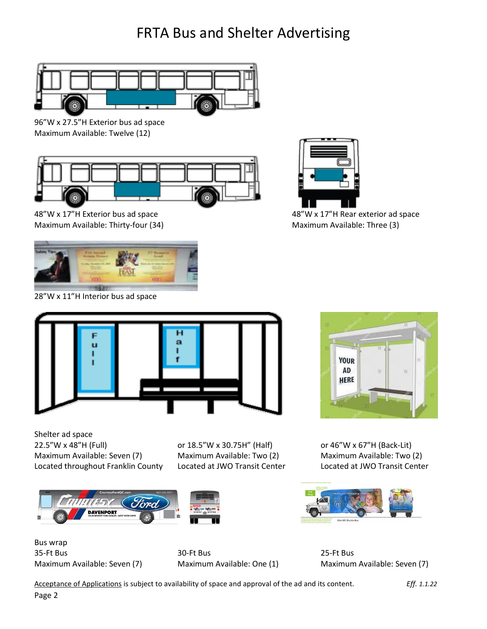## FRTA Bus and Shelter Advertising



96"W x 27.5"H Exterior bus ad space Maximum Available: Twelve (12)



Maximum Available: Thirty-four (34) Maximum Available: Three (3)



28"W x 11"H Interior bus ad space



48"W x 17"H Exterior bus ad space 48"W x 17"H Rear exterior ad space



Shelter ad space 22.5"W x 48"H (Full) or 18.5"W x 30.75H" (Half) or 46"W x 67"H (Back-Lit) Maximum Available: Seven (7) Maximum Available: Two (2) Maximum Available: Two (2) Located throughout Franklin County Located at JWO Transit Center Located at JWO Transit Center





Bus wrap 35-Ft Bus 30-Ft Bus 25-Ft Bus



Maximum Available: Seven (7) Maximum Available: One (1) Maximum Available: Seven (7)

Acceptance of Applications is subject to availability of space and approval of the ad and its content. *Eff. 1.1.22*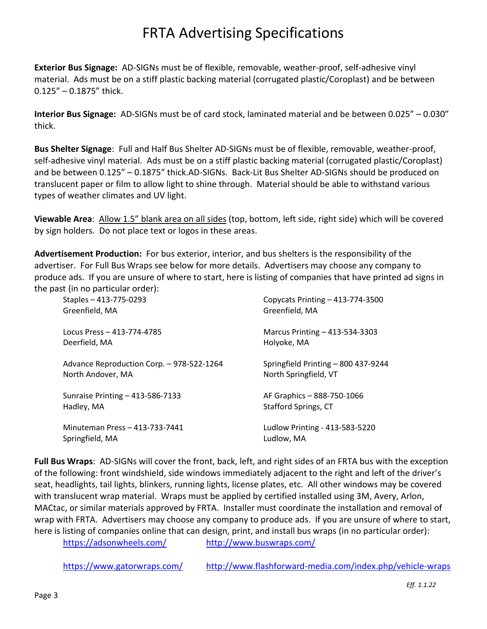## FRTA Advertising Specifications

**Exterior Bus Signage:** AD-SIGNs must be of flexible, removable, weather-proof, self-adhesive vinyl material. Ads must be on a stiff plastic backing material (corrugated plastic/Coroplast) and be between 0.125" – 0.1875" thick.

**Interior Bus Signage:** AD-SIGNs must be of card stock, laminated material and be between 0.025" – 0.030" thick.

**Bus Shelter Signage**: Full and Half Bus Shelter AD-SIGNs must be of flexible, removable, weather-proof, self-adhesive vinyl material. Ads must be on a stiff plastic backing material (corrugated plastic/Coroplast) and be between 0.125" – 0.1875" thick.AD-SIGNs. Back-Lit Bus Shelter AD-SIGNs should be produced on translucent paper or film to allow light to shine through. Material should be able to withstand various types of weather climates and UV light.

**Viewable Area**: Allow 1.5" blank area on all sides (top, bottom, left side, right side) which will be covered by sign holders. Do not place text or logos in these areas.

**Advertisement Production:** For bus exterior, interior, and bus shelters is the responsibility of the advertiser. For Full Bus Wraps see below for more details. Advertisers may choose any company to produce ads. If you are unsure of where to start, here is listing of companies that have printed ad signs in the past (in no particular order):

| Staples - 413-775-0293                    | Copycats Printing - 413-774-3500    |
|-------------------------------------------|-------------------------------------|
| Greenfield, MA                            | Greenfield, MA                      |
| Locus Press - 413-774-4785                | Marcus Printing - 413-534-3303      |
| Deerfield, MA                             | Holyoke, MA                         |
| Advance Reproduction Corp. - 978-522-1264 | Springfield Printing - 800 437-9244 |
| North Andover, MA                         | North Springfield, VT               |
| Sunraise Printing - 413-586-7133          | AF Graphics - 888-750-1066          |
| Hadley, MA                                | Stafford Springs, CT                |
| Minuteman Press - 413-733-7441            | Ludlow Printing - 413-583-5220      |
| Springfield, MA                           | Ludlow, MA                          |

**Full Bus Wraps**: AD-SIGNs will cover the front, back, left, and right sides of an FRTA bus with the exception of the following: front windshield, side windows immediately adjacent to the right and left of the driver's seat, headlights, tail lights, blinkers, running lights, license plates, etc. All other windows may be covered with translucent wrap material. Wraps must be applied by certified installed using 3M, Avery, Arlon, MACtac, or similar materials approved by FRTA. Installer must coordinate the installation and removal of wrap with FRTA. Advertisers may choose any company to produce ads. If you are unsure of where to start, here is listing of companies online that can design, print, and install bus wraps (in no particular order):

<https://adsonwheels.com/> <http://www.buswraps.com/>

<https://www.gatorwraps.com/> <http://www.flashforward-media.com/index.php/vehicle-wraps>